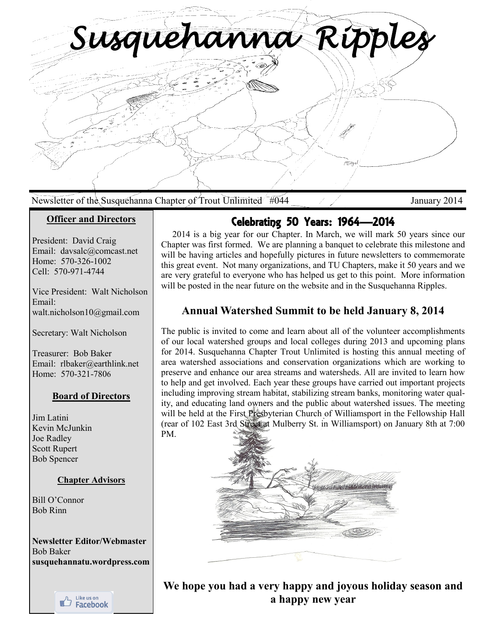*Susquehanna Ripples*  MEng

### Newsletter of the Susquehanna Chapter of Trout Unlimited #044 January 2014

### **Officer and Directors**

President: David Craig Email: davsalc@comcast.net Home: 570-326-1002 Cell: 570-971-4744

Vice President: Walt Nicholson Email: walt.nicholson10@gmail.com

Secretary: Walt Nicholson

Treasurer: Bob Baker Email: rlbaker@earthlink.net Home: 570-321-7806

#### **Board of Directors**

Jim Latini Kevin McJunkin Joe Radley Scott Rupert Bob Spencer

#### **Chapter Advisors**

Bill O'Connor Bob Rinn

**Newsletter Editor/Webmaster**  Bob Baker **susquehannatu.wordpress.com**



# Celebrating 50 Years: 1964—2014

 2014 is a big year for our Chapter. In March, we will mark 50 years since our Chapter was first formed. We are planning a banquet to celebrate this milestone and will be having articles and hopefully pictures in future newsletters to commemorate this great event. Not many organizations, and TU Chapters, make it 50 years and we are very grateful to everyone who has helped us get to this point. More information will be posted in the near future on the website and in the Susquehanna Ripples.

## **Annual Watershed Summit to be held January 8, 2014**

The public is invited to come and learn about all of the volunteer accomplishments of our local watershed groups and local colleges during 2013 and upcoming plans for 2014. Susquehanna Chapter Trout Unlimited is hosting this annual meeting of area watershed associations and conservation organizations which are working to preserve and enhance our area streams and watersheds. All are invited to learn how to help and get involved. Each year these groups have carried out important projects including improving stream habitat, stabilizing stream banks, monitoring water quality, and educating land owners and the public about watershed issues. The meeting will be held at the First Presbyterian Church of Williamsport in the Fellowship Hall (rear of 102 East 3rd Street at Mulberry St. in Williamsport) on January 8th at 7:00 PM.



**We hope you had a very happy and joyous holiday season and a happy new year**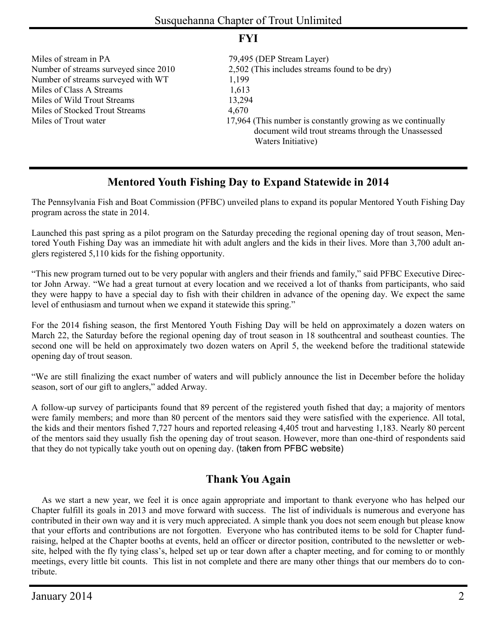Miles of stream in PA 79,495 (DEP Stream Layer) Number of streams surveyed with WT 1,199 Miles of Class A Streams 1,613 Miles of Wild Trout Streams 13,294 Miles of Stocked Trout Streams 4,670

## **FYI**

Number of streams surveyed since 2010 2,502 (This includes streams found to be dry) Miles of Trout water 17,964 (This number is constantly growing as we continually document wild trout streams through the Unassessed Waters Initiative)

# **Mentored Youth Fishing Day to Expand Statewide in 2014**

The Pennsylvania Fish and Boat Commission (PFBC) unveiled plans to expand its popular Mentored Youth Fishing Day program across the state in 2014.

Launched this past spring as a pilot program on the Saturday preceding the regional opening day of trout season, Mentored Youth Fishing Day was an immediate hit with adult anglers and the kids in their lives. More than 3,700 adult anglers registered 5,110 kids for the fishing opportunity.

"This new program turned out to be very popular with anglers and their friends and family," said PFBC Executive Director John Arway. "We had a great turnout at every location and we received a lot of thanks from participants, who said they were happy to have a special day to fish with their children in advance of the opening day. We expect the same level of enthusiasm and turnout when we expand it statewide this spring."

For the 2014 fishing season, the first Mentored Youth Fishing Day will be held on approximately a dozen waters on March 22, the Saturday before the regional opening day of trout season in 18 southcentral and southeast counties. The second one will be held on approximately two dozen waters on April 5, the weekend before the traditional statewide opening day of trout season.

"We are still finalizing the exact number of waters and will publicly announce the list in December before the holiday season, sort of our gift to anglers," added Arway.

A follow-up survey of participants found that 89 percent of the registered youth fished that day; a majority of mentors were family members; and more than 80 percent of the mentors said they were satisfied with the experience. All total, the kids and their mentors fished 7,727 hours and reported releasing 4,405 trout and harvesting 1,183. Nearly 80 percent of the mentors said they usually fish the opening day of trout season. However, more than one-third of respondents said that they do not typically take youth out on opening day. (taken from PFBC website)

# **Thank You Again**

 As we start a new year, we feel it is once again appropriate and important to thank everyone who has helped our Chapter fulfill its goals in 2013 and move forward with success. The list of individuals is numerous and everyone has contributed in their own way and it is very much appreciated. A simple thank you does not seem enough but please know that your efforts and contributions are not forgotten. Everyone who has contributed items to be sold for Chapter fundraising, helped at the Chapter booths at events, held an officer or director position, contributed to the newsletter or website, helped with the fly tying class's, helped set up or tear down after a chapter meeting, and for coming to or monthly meetings, every little bit counts. This list in not complete and there are many other things that our members do to contribute.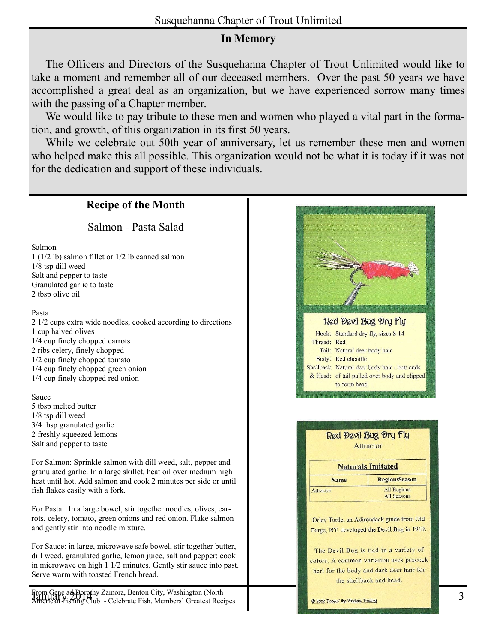# **In Memory**

 The Officers and Directors of the Susquehanna Chapter of Trout Unlimited would like to take a moment and remember all of our deceased members. Over the past 50 years we have accomplished a great deal as an organization, but we have experienced sorrow many times with the passing of a Chapter member.

 We would like to pay tribute to these men and women who played a vital part in the formation, and growth, of this organization in its first 50 years.

 While we celebrate out 50th year of anniversary, let us remember these men and women who helped make this all possible. This organization would not be what it is today if it was not for the dedication and support of these individuals.

# **Recipe of the Month**

Salmon - Pasta Salad

#### Salmon

1 (1/2 lb) salmon fillet or 1/2 lb canned salmon 1/8 tsp dill weed Salt and pepper to taste Granulated garlic to taste 2 tbsp olive oil

#### Pasta

2 1/2 cups extra wide noodles, cooked according to directions 1 cup halved olives 1/4 cup finely chopped carrots 2 ribs celery, finely chopped 1/2 cup finely chopped tomato 1/4 cup finely chopped green onion 1/4 cup finely chopped red onion

#### Sauce

5 tbsp melted butter 1/8 tsp dill weed 3/4 tbsp granulated garlic 2 freshly squeezed lemons Salt and pepper to taste

For Salmon: Sprinkle salmon with dill weed, salt, pepper and granulated garlic. In a large skillet, heat oil over medium high heat until hot. Add salmon and cook 2 minutes per side or until fish flakes easily with a fork.

For Pasta: In a large bowel, stir together noodles, olives, carrots, celery, tomato, green onions and red onion. Flake salmon and gently stir into noodle mixture.

For Sauce: in large, microwave safe bowel, stir together butter, dill weed, granulated garlic, lemon juice, salt and pepper: cook in microwave on high 1 1/2 minutes. Gently stir sauce into past. Serve warm with toasted French bread.

From Gene ad Dorothy Zamora, Benton City, Washington (North<br>January 2014 3 | Francisco Club - Celebrate Fish Members' Greatest Recines American Fishing Club - Celebrate Fish, Members' Greatest Recipes